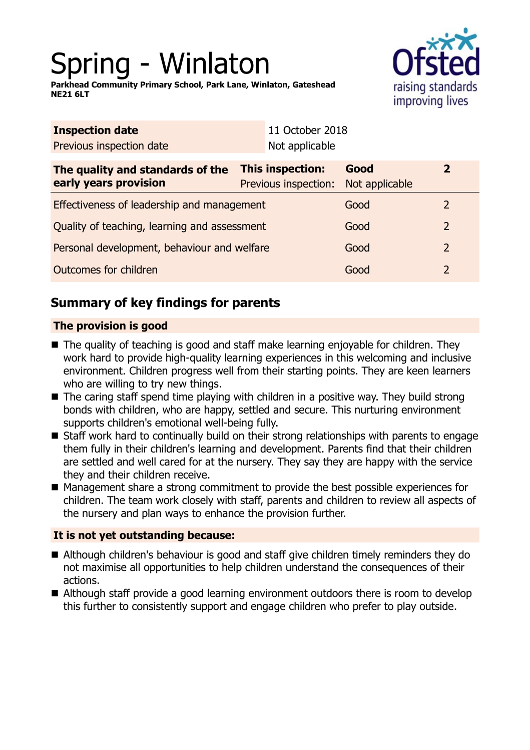# Spring - Winlaton

**Parkhead Community Primary School, Park Lane, Winlaton, Gateshead NE21 6LT**



| Not applicable                                  |                        |                                                 |  |
|-------------------------------------------------|------------------------|-------------------------------------------------|--|
| <b>This inspection:</b><br>Previous inspection: | Good<br>Not applicable | $\overline{2}$                                  |  |
| Effectiveness of leadership and management      |                        | 2                                               |  |
| Quality of teaching, learning and assessment    |                        | 2                                               |  |
| Personal development, behaviour and welfare     |                        | $\overline{2}$                                  |  |
| Outcomes for children                           |                        | 2                                               |  |
|                                                 |                        | 11 October 2018<br>Good<br>Good<br>Good<br>Good |  |

# **Summary of key findings for parents**

## **The provision is good**

- The quality of teaching is good and staff make learning enjoyable for children. They work hard to provide high-quality learning experiences in this welcoming and inclusive environment. Children progress well from their starting points. They are keen learners who are willing to try new things.
- $\blacksquare$  The caring staff spend time playing with children in a positive way. They build strong bonds with children, who are happy, settled and secure. This nurturing environment supports children's emotional well-being fully.
- $\blacksquare$  Staff work hard to continually build on their strong relationships with parents to engage them fully in their children's learning and development. Parents find that their children are settled and well cared for at the nursery. They say they are happy with the service they and their children receive.
- Management share a strong commitment to provide the best possible experiences for children. The team work closely with staff, parents and children to review all aspects of the nursery and plan ways to enhance the provision further.

## **It is not yet outstanding because:**

- Although children's behaviour is good and staff give children timely reminders they do not maximise all opportunities to help children understand the consequences of their actions.
- $\blacksquare$  Although staff provide a good learning environment outdoors there is room to develop this further to consistently support and engage children who prefer to play outside.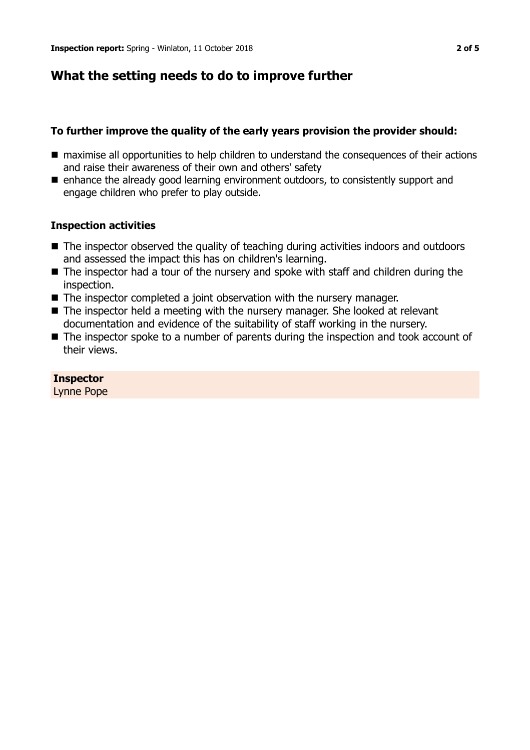# **What the setting needs to do to improve further**

#### **To further improve the quality of the early years provision the provider should:**

- maximise all opportunities to help children to understand the consequences of their actions and raise their awareness of their own and others' safety
- enhance the already good learning environment outdoors, to consistently support and engage children who prefer to play outside.

#### **Inspection activities**

- $\blacksquare$  The inspector observed the quality of teaching during activities indoors and outdoors and assessed the impact this has on children's learning.
- $\blacksquare$  The inspector had a tour of the nursery and spoke with staff and children during the inspection.
- $\blacksquare$  The inspector completed a joint observation with the nursery manager.
- $\blacksquare$  The inspector held a meeting with the nursery manager. She looked at relevant documentation and evidence of the suitability of staff working in the nursery.
- $\blacksquare$  The inspector spoke to a number of parents during the inspection and took account of their views.

#### **Inspector**

Lynne Pope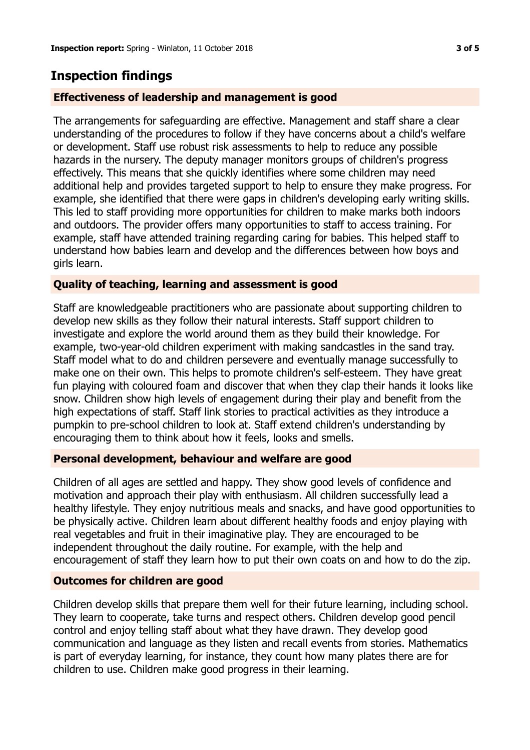# **Inspection findings**

#### **Effectiveness of leadership and management is good**

The arrangements for safeguarding are effective. Management and staff share a clear understanding of the procedures to follow if they have concerns about a child's welfare or development. Staff use robust risk assessments to help to reduce any possible hazards in the nursery. The deputy manager monitors groups of children's progress effectively. This means that she quickly identifies where some children may need additional help and provides targeted support to help to ensure they make progress. For example, she identified that there were gaps in children's developing early writing skills. This led to staff providing more opportunities for children to make marks both indoors and outdoors. The provider offers many opportunities to staff to access training. For example, staff have attended training regarding caring for babies. This helped staff to understand how babies learn and develop and the differences between how boys and girls learn.

#### **Quality of teaching, learning and assessment is good**

Staff are knowledgeable practitioners who are passionate about supporting children to develop new skills as they follow their natural interests. Staff support children to investigate and explore the world around them as they build their knowledge. For example, two-year-old children experiment with making sandcastles in the sand tray. Staff model what to do and children persevere and eventually manage successfully to make one on their own. This helps to promote children's self-esteem. They have great fun playing with coloured foam and discover that when they clap their hands it looks like snow. Children show high levels of engagement during their play and benefit from the high expectations of staff. Staff link stories to practical activities as they introduce a pumpkin to pre-school children to look at. Staff extend children's understanding by encouraging them to think about how it feels, looks and smells.

#### **Personal development, behaviour and welfare are good**

Children of all ages are settled and happy. They show good levels of confidence and motivation and approach their play with enthusiasm. All children successfully lead a healthy lifestyle. They enjoy nutritious meals and snacks, and have good opportunities to be physically active. Children learn about different healthy foods and enjoy playing with real vegetables and fruit in their imaginative play. They are encouraged to be independent throughout the daily routine. For example, with the help and encouragement of staff they learn how to put their own coats on and how to do the zip.

#### **Outcomes for children are good**

Children develop skills that prepare them well for their future learning, including school. They learn to cooperate, take turns and respect others. Children develop good pencil control and enjoy telling staff about what they have drawn. They develop good communication and language as they listen and recall events from stories. Mathematics is part of everyday learning, for instance, they count how many plates there are for children to use. Children make good progress in their learning.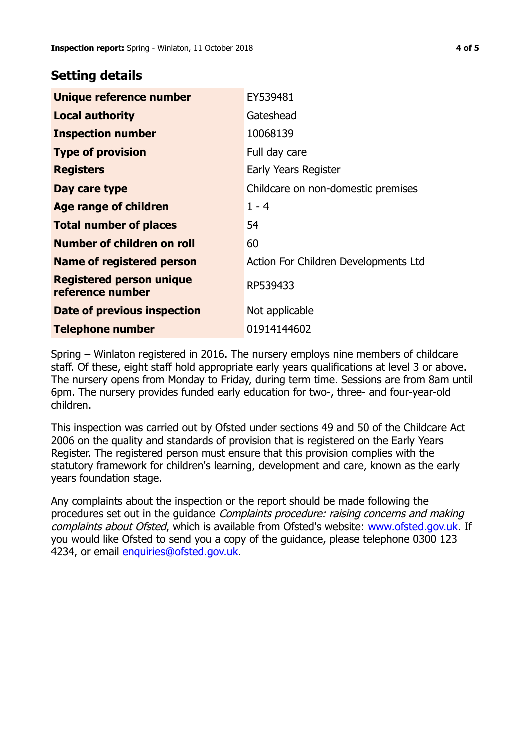### **Setting details**

| Unique reference number                             | EY539481                             |
|-----------------------------------------------------|--------------------------------------|
| <b>Local authority</b>                              | Gateshead                            |
| <b>Inspection number</b>                            | 10068139                             |
| <b>Type of provision</b>                            | Full day care                        |
| <b>Registers</b>                                    | Early Years Register                 |
| Day care type                                       | Childcare on non-domestic premises   |
| Age range of children                               | $1 - 4$                              |
| <b>Total number of places</b>                       | 54                                   |
| <b>Number of children on roll</b>                   | 60                                   |
| <b>Name of registered person</b>                    | Action For Children Developments Ltd |
| <b>Registered person unique</b><br>reference number | RP539433                             |
| Date of previous inspection                         | Not applicable                       |
| <b>Telephone number</b>                             | 01914144602                          |

Spring – Winlaton registered in 2016. The nursery employs nine members of childcare staff. Of these, eight staff hold appropriate early years qualifications at level 3 or above. The nursery opens from Monday to Friday, during term time. Sessions are from 8am until 6pm. The nursery provides funded early education for two-, three- and four-year-old children.

This inspection was carried out by Ofsted under sections 49 and 50 of the Childcare Act 2006 on the quality and standards of provision that is registered on the Early Years Register. The registered person must ensure that this provision complies with the statutory framework for children's learning, development and care, known as the early years foundation stage.

Any complaints about the inspection or the report should be made following the procedures set out in the guidance Complaints procedure: raising concerns and making complaints about Ofsted, which is available from Ofsted's website: www.ofsted.gov.uk. If you would like Ofsted to send you a copy of the guidance, please telephone 0300 123 4234, or email [enquiries@ofsted.gov.uk.](mailto:enquiries@ofsted.gov.uk)